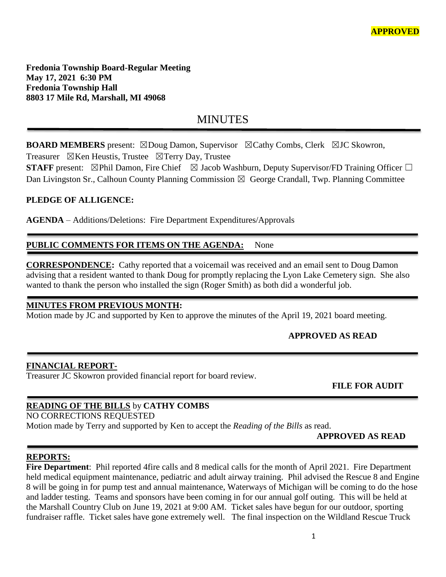**Fredonia Township Board-Regular Meeting May 17, 2021 6:30 PM Fredonia Township Hall 8803 17 Mile Rd, Marshall, MI 49068**

# **MINUTES**

**BOARD MEMBERS** present: ⊠Doug Damon, Supervisor ⊠Cathy Combs, Clerk ⊠JC Skowron, Treasurer  $\boxtimes$ Ken Heustis, Trustee  $\boxtimes$ Terry Day, Trustee

**STAFF** present: ⊠Phil Damon, Fire Chief ⊠ Jacob Washburn, Deputy Supervisor/FD Training Officer □ Dan Livingston Sr., Calhoun County Planning Commission  $\boxtimes$  George Crandall, Twp. Planning Committee

#### **PLEDGE OF ALLIGENCE:**

**AGENDA** – Additions/Deletions: Fire Department Expenditures/Approvals

## PUBLIC COMMENTS FOR ITEMS ON THE AGENDA: None

**CORRESPONDENCE:** Cathy reported that a voicemail was received and an email sent to Doug Damon advising that a resident wanted to thank Doug for promptly replacing the Lyon Lake Cemetery sign. She also wanted to thank the person who installed the sign (Roger Smith) as both did a wonderful job.

#### **MINUTES FROM PREVIOUS MONTH:**

Motion made by JC and supported by Ken to approve the minutes of the April 19, 2021 board meeting.

## **APPROVED AS READ**

#### **FINANCIAL REPORT-**

Treasurer JC Skowron provided financial report for board review.

 **FILE FOR AUDIT** 

## **READING OF THE BILLS** by **CATHY COMBS**

NO CORRECTIONS REQUESTED Motion made by Terry and supported by Ken to accept the *Reading of the Bills* as read.

## **APPROVED AS READ**

## **REPORTS:**

**Fire Department**: Phil reported 4fire calls and 8 medical calls for the month of April 2021. Fire Department held medical equipment maintenance, pediatric and adult airway training. Phil advised the Rescue 8 and Engine 8 will be going in for pump test and annual maintenance, Waterways of Michigan will be coming to do the hose and ladder testing. Teams and sponsors have been coming in for our annual golf outing. This will be held at the Marshall Country Club on June 19, 2021 at 9:00 AM. Ticket sales have begun for our outdoor, sporting fundraiser raffle. Ticket sales have gone extremely well. The final inspection on the Wildland Rescue Truck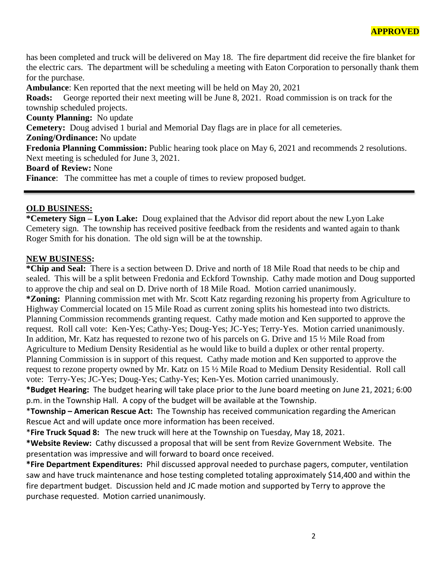has been completed and truck will be delivered on May 18. The fire department did receive the fire blanket for the electric cars. The department will be scheduling a meeting with Eaton Corporation to personally thank them for the purchase.

**Ambulance**: Ken reported that the next meeting will be held on May 20, 2021

**Roads:** George reported their next meeting will be June 8, 2021. Road commission is on track for the township scheduled projects.

**County Planning:** No update

**Cemetery:** Doug advised 1 burial and Memorial Day flags are in place for all cemeteries.

**Zoning/Ordinance:** No update

**Fredonia Planning Commission:** Public hearing took place on May 6, 2021 and recommends 2 resolutions. Next meeting is scheduled for June 3, 2021.

**Board of Review:** None

Finance: The committee has met a couple of times to review proposed budget.

#### **OLD BUSINESS:**

**\*Cemetery Sign – Lyon Lake:** Doug explained that the Advisor did report about the new Lyon Lake Cemetery sign. The township has received positive feedback from the residents and wanted again to thank Roger Smith for his donation. The old sign will be at the township.

#### **NEW BUSINESS:**

**\*Chip and Seal:** There is a section between D. Drive and north of 18 Mile Road that needs to be chip and sealed. This will be a split between Fredonia and Eckford Township. Cathy made motion and Doug supported to approve the chip and seal on D. Drive north of 18 Mile Road. Motion carried unanimously. **\*Zoning:** Planning commission met with Mr. Scott Katz regarding rezoning his property from Agriculture to Highway Commercial located on 15 Mile Road as current zoning splits his homestead into two districts. Planning Commission recommends granting request. Cathy made motion and Ken supported to approve the request. Roll call vote: Ken-Yes; Cathy-Yes; Doug-Yes; JC-Yes; Terry-Yes. Motion carried unanimously. In addition, Mr. Katz has requested to rezone two of his parcels on G. Drive and 15 ½ Mile Road from Agriculture to Medium Density Residential as he would like to build a duplex or other rental property. Planning Commission is in support of this request. Cathy made motion and Ken supported to approve the request to rezone property owned by Mr. Katz on 15 ½ Mile Road to Medium Density Residential. Roll call vote: Terry-Yes; JC-Yes; Doug-Yes; Cathy-Yes; Ken-Yes. Motion carried unanimously.

**\*Budget Hearing:** The budget hearing will take place prior to the June board meeting on June 21, 2021; 6:00 p.m. in the Township Hall. A copy of the budget will be available at the Township.

\***Township – American Rescue Act:** The Township has received communication regarding the American Rescue Act and will update once more information has been received.

\***Fire Truck Squad 8:** The new truck will here at the Township on Tuesday, May 18, 2021.

**\*Website Review:** Cathy discussed a proposal that will be sent from Revize Government Website. The presentation was impressive and will forward to board once received.

**\*Fire Department Expenditures:** Phil discussed approval needed to purchase pagers, computer, ventilation saw and have truck maintenance and hose testing completed totaling approximately \$14,400 and within the fire department budget. Discussion held and JC made motion and supported by Terry to approve the purchase requested. Motion carried unanimously.